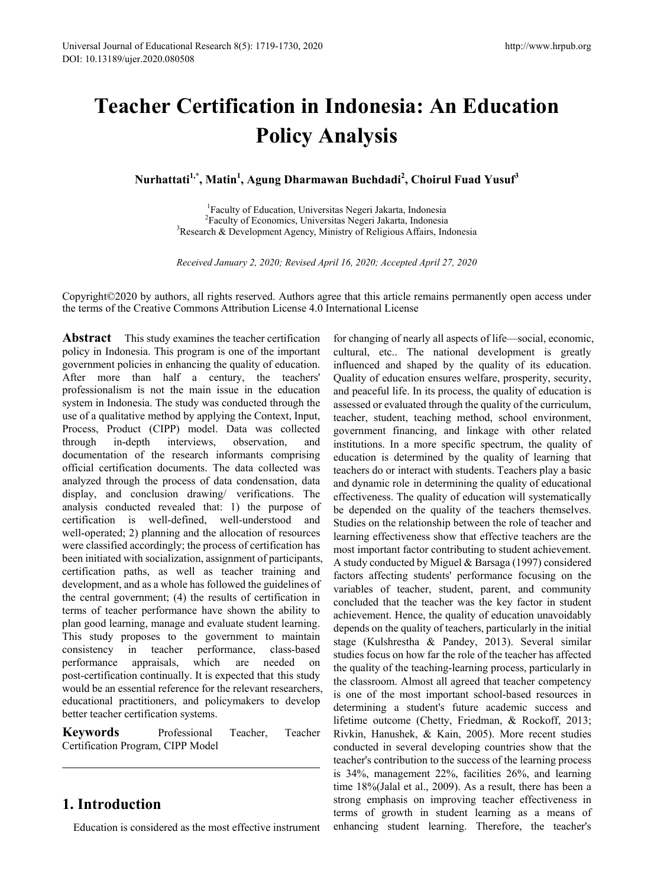# **Teacher Certification in Indonesia: An Education Policy Analysis**

**Nurhattati1,\*, Matin1 , Agung Dharmawan Buchdadi<sup>2</sup> , Choirul Fuad Yusuf<sup>3</sup>**

<sup>1</sup>Faculty of Education, Universitas Negeri Jakarta, Indonesia Faculty of Education, Universitas Negeri Jakarta, Indonesia 2 Faculty of Economics, Universitas Negeri Jakarta, Indonesia<br><sup>3</sup>Research & Development Agency, Ministry of Religious Affairs, Ind  $R$ Research & Development Agency, Ministry of Religious Affairs, Indonesia

*Received January 2, 2020; Revised April 16, 2020; Accepted April 27, 2020*

Copyright©2020 by authors, all rights reserved. Authors agree that this article remains permanently open access under the terms of the Creative Commons Attribution License 4.0 International License

**Abstract** This study examines the teacher certification policy in Indonesia. This program is one of the important government policies in enhancing the quality of education. After more than half a century, the teachers' professionalism is not the main issue in the education system in Indonesia. The study was conducted through the use of a qualitative method by applying the Context, Input, Process, Product (CIPP) model. Data was collected through in-depth interviews, observation, and documentation of the research informants comprising official certification documents. The data collected was analyzed through the process of data condensation, data display, and conclusion drawing/ verifications. The analysis conducted revealed that: 1) the purpose of certification is well-defined, well-understood and well-operated; 2) planning and the allocation of resources were classified accordingly; the process of certification has been initiated with socialization, assignment of participants, certification paths, as well as teacher training and development, and as a whole has followed the guidelines of the central government; (4) the results of certification in terms of teacher performance have shown the ability to plan good learning, manage and evaluate student learning. This study proposes to the government to maintain consistency in teacher performance, class-based performance appraisals, which are needed on post-certification continually. It is expected that this study would be an essential reference for the relevant researchers, educational practitioners, and policymakers to develop better teacher certification systems.

**Keywords** Professional Teacher, Teacher Certification Program, CIPP Model

# **1. Introduction**

Education is considered as the most effective instrument

for changing of nearly all aspects of life—social, economic, cultural, etc.. The national development is greatly influenced and shaped by the quality of its education. Quality of education ensures welfare, prosperity, security, and peaceful life. In its process, the quality of education is assessed or evaluated through the quality of the curriculum, teacher, student, teaching method, school environment, government financing, and linkage with other related institutions. In a more specific spectrum, the quality of education is determined by the quality of learning that teachers do or interact with students. Teachers play a basic and dynamic role in determining the quality of educational effectiveness. The quality of education will systematically be depended on the quality of the teachers themselves. Studies on the relationship between the role of teacher and learning effectiveness show that effective teachers are the most important factor contributing to student achievement. A study conducted by Miguel & Barsaga (1997) considered factors affecting students' performance focusing on the variables of teacher, student, parent, and community concluded that the teacher was the key factor in student achievement. Hence, the quality of education unavoidably depends on the quality of teachers, particularly in the initial stage (Kulshrestha & Pandey, 2013). Several similar studies focus on how far the role of the teacher has affected the quality of the teaching-learning process, particularly in the classroom. Almost all agreed that teacher competency is one of the most important school-based resources in determining a student's future academic success and lifetime outcome (Chetty, Friedman, & Rockoff, 2013; Rivkin, Hanushek, & Kain, 2005). More recent studies conducted in several developing countries show that the teacher's contribution to the success of the learning process is 34%, management 22%, facilities 26%, and learning time 18%(Jalal et al., 2009). As a result, there has been a strong emphasis on improving teacher effectiveness in terms of growth in student learning as a means of enhancing student learning. Therefore, the teacher's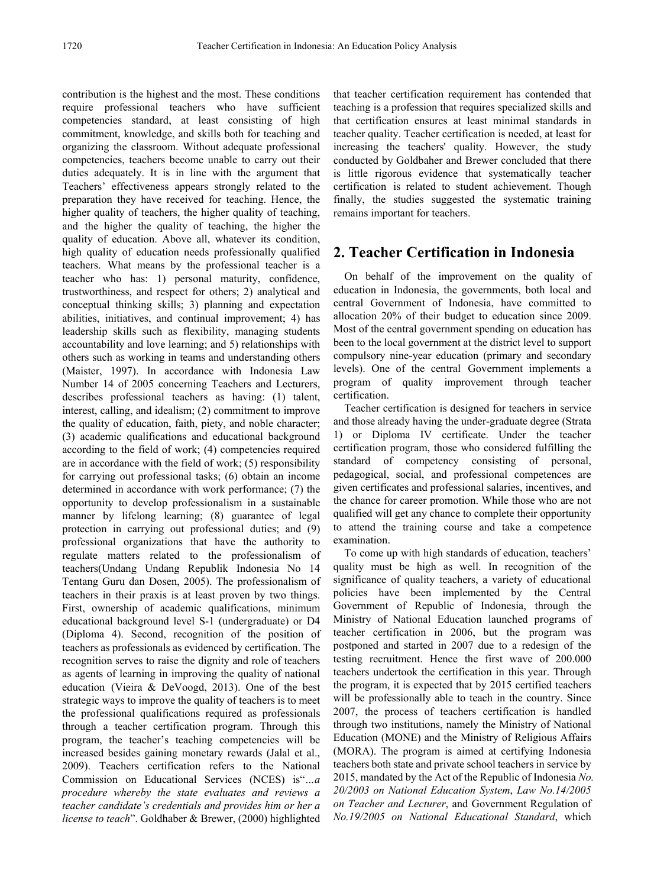contribution is the highest and the most. These conditions require professional teachers who have sufficient competencies standard, at least consisting of high commitment, knowledge, and skills both for teaching and organizing the classroom. Without adequate professional competencies, teachers become unable to carry out their duties adequately. It is in line with the argument that Teachers' effectiveness appears strongly related to the preparation they have received for teaching. Hence, the higher quality of teachers, the higher quality of teaching, and the higher the quality of teaching, the higher the quality of education. Above all, whatever its condition, high quality of education needs professionally qualified teachers. What means by the professional teacher is a teacher who has: 1) personal maturity, confidence, trustworthiness, and respect for others; 2) analytical and conceptual thinking skills; 3) planning and expectation abilities, initiatives, and continual improvement; 4) has leadership skills such as flexibility, managing students accountability and love learning; and 5) relationships with others such as working in teams and understanding others (Maister, 1997). In accordance with Indonesia Law Number 14 of 2005 concerning Teachers and Lecturers, describes professional teachers as having: (1) talent, interest, calling, and idealism; (2) commitment to improve the quality of education, faith, piety, and noble character; (3) academic qualifications and educational background according to the field of work; (4) competencies required are in accordance with the field of work; (5) responsibility for carrying out professional tasks; (6) obtain an income determined in accordance with work performance; (7) the opportunity to develop professionalism in a sustainable manner by lifelong learning; (8) guarantee of legal protection in carrying out professional duties; and (9) professional organizations that have the authority to regulate matters related to the professionalism of teachers(Undang Undang Republik Indonesia No 14 Tentang Guru dan Dosen, 2005). The professionalism of teachers in their praxis is at least proven by two things. First, ownership of academic qualifications, minimum educational background level S-1 (undergraduate) or D4 (Diploma 4). Second, recognition of the position of teachers as professionals as evidenced by certification. The recognition serves to raise the dignity and role of teachers as agents of learning in improving the quality of national education (Vieira & DeVoogd, 2013). One of the best strategic ways to improve the quality of teachers is to meet the professional qualifications required as professionals through a teacher certification program. Through this program, the teacher's teaching competencies will be increased besides gaining monetary rewards (Jalal et al., 2009). Teachers certification refers to the National Commission on Educational Services (NCES) is"*…a procedure whereby the state evaluates and reviews a teacher candidate's credentials and provides him or her a license to teach*". Goldhaber & Brewer, (2000) highlighted

that teacher certification requirement has contended that teaching is a profession that requires specialized skills and that certification ensures at least minimal standards in teacher quality. Teacher certification is needed, at least for increasing the teachers' quality. However, the study conducted by Goldbaher and Brewer concluded that there is little rigorous evidence that systematically teacher certification is related to student achievement. Though finally, the studies suggested the systematic training remains important for teachers.

# **2. Teacher Certification in Indonesia**

On behalf of the improvement on the quality of education in Indonesia, the governments, both local and central Government of Indonesia, have committed to allocation 20% of their budget to education since 2009. Most of the central government spending on education has been to the local government at the district level to support compulsory nine-year education (primary and secondary levels). One of the central Government implements a program of quality improvement through teacher certification.

Teacher certification is designed for teachers in service and those already having the under-graduate degree (Strata 1) or Diploma IV certificate. Under the teacher certification program, those who considered fulfilling the standard of competency consisting of personal, pedagogical, social, and professional competences are given certificates and professional salaries, incentives, and the chance for career promotion. While those who are not qualified will get any chance to complete their opportunity to attend the training course and take a competence examination.

To come up with high standards of education, teachers' quality must be high as well. In recognition of the significance of quality teachers, a variety of educational policies have been implemented by the Central Government of Republic of Indonesia, through the Ministry of National Education launched programs of teacher certification in 2006, but the program was postponed and started in 2007 due to a redesign of the testing recruitment. Hence the first wave of 200.000 teachers undertook the certification in this year. Through the program, it is expected that by 2015 certified teachers will be professionally able to teach in the country. Since 2007, the process of teachers certification is handled through two institutions, namely the Ministry of National Education (MONE) and the Ministry of Religious Affairs (MORA). The program is aimed at certifying Indonesia teachers both state and private school teachers in service by 2015, mandated by the Act of the Republic of Indonesia *No. 20/2003 on National Education System*, *Law No.14/2005 on Teacher and Lecturer*, and Government Regulation of *No.19/2005 on National Educational Standard*, which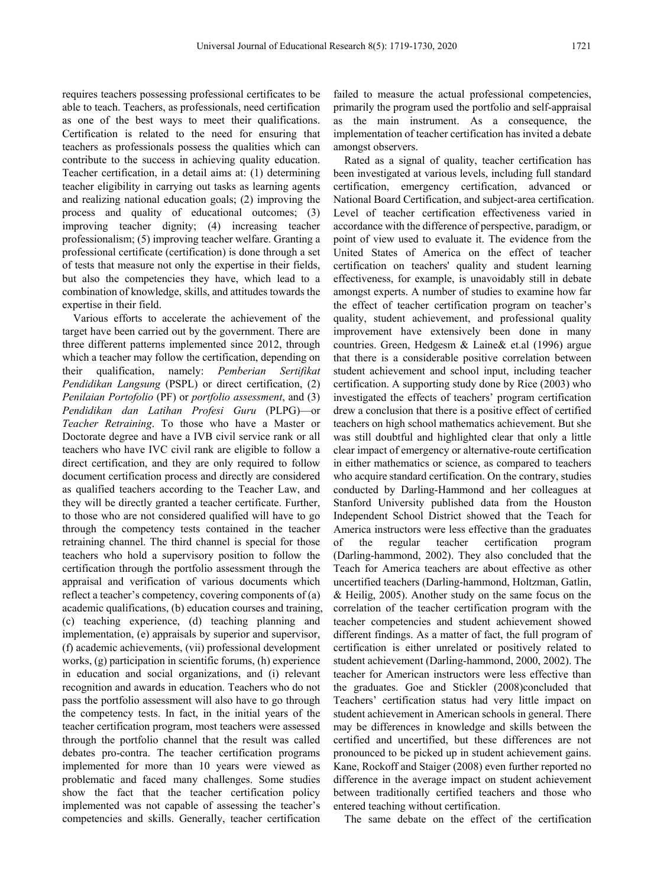requires teachers possessing professional certificates to be able to teach. Teachers, as professionals, need certification as one of the best ways to meet their qualifications. Certification is related to the need for ensuring that teachers as professionals possess the qualities which can contribute to the success in achieving quality education. Teacher certification, in a detail aims at: (1) determining teacher eligibility in carrying out tasks as learning agents and realizing national education goals; (2) improving the process and quality of educational outcomes; (3) improving teacher dignity; (4) increasing teacher professionalism; (5) improving teacher welfare. Granting a professional certificate (certification) is done through a set of tests that measure not only the expertise in their fields, but also the competencies they have, which lead to a combination of knowledge, skills, and attitudes towards the expertise in their field.

Various efforts to accelerate the achievement of the target have been carried out by the government. There are three different patterns implemented since 2012, through which a teacher may follow the certification, depending on their qualification, namely: *Pemberian Sertifikat Pendidikan Langsung* (PSPL) or direct certification, (2) *Penilaian Portofolio* (PF) or *portfolio assessment*, and (3) *Pendidikan dan Latihan Profesi Guru* (PLPG)—or *Teacher Retraining*. To those who have a Master or Doctorate degree and have a IVB civil service rank or all teachers who have IVC civil rank are eligible to follow a direct certification, and they are only required to follow document certification process and directly are considered as qualified teachers according to the Teacher Law, and they will be directly granted a teacher certificate. Further, to those who are not considered qualified will have to go through the competency tests contained in the teacher retraining channel. The third channel is special for those teachers who hold a supervisory position to follow the certification through the portfolio assessment through the appraisal and verification of various documents which reflect a teacher's competency, covering components of (a) academic qualifications, (b) education courses and training, (c) teaching experience, (d) teaching planning and implementation, (e) appraisals by superior and supervisor, (f) academic achievements, (vii) professional development works, (g) participation in scientific forums, (h) experience in education and social organizations, and (i) relevant recognition and awards in education. Teachers who do not pass the portfolio assessment will also have to go through the competency tests. In fact, in the initial years of the teacher certification program, most teachers were assessed through the portfolio channel that the result was called debates pro-contra. The teacher certification programs implemented for more than 10 years were viewed as problematic and faced many challenges. Some studies show the fact that the teacher certification policy implemented was not capable of assessing the teacher's competencies and skills. Generally, teacher certification

failed to measure the actual professional competencies, primarily the program used the portfolio and self-appraisal as the main instrument. As a consequence, the implementation of teacher certification has invited a debate amongst observers.

Rated as a signal of quality, teacher certification has been investigated at various levels, including full standard certification, emergency certification, advanced or National Board Certification, and subject-area certification. Level of teacher certification effectiveness varied in accordance with the difference of perspective, paradigm, or point of view used to evaluate it. The evidence from the United States of America on the effect of teacher certification on teachers' quality and student learning effectiveness, for example, is unavoidably still in debate amongst experts. A number of studies to examine how far the effect of teacher certification program on teacher's quality, student achievement, and professional quality improvement have extensively been done in many countries. Green, Hedgesm & Laine& et.al (1996) argue that there is a considerable positive correlation between student achievement and school input, including teacher certification. A supporting study done by Rice (2003) who investigated the effects of teachers' program certification drew a conclusion that there is a positive effect of certified teachers on high school mathematics achievement. But she was still doubtful and highlighted clear that only a little clear impact of emergency or alternative-route certification in either mathematics or science, as compared to teachers who acquire standard certification. On the contrary, studies conducted by Darling-Hammond and her colleagues at Stanford University published data from the Houston Independent School District showed that the Teach for America instructors were less effective than the graduates of the regular teacher certification program (Darling-hammond, 2002). They also concluded that the Teach for America teachers are about effective as other uncertified teachers (Darling-hammond, Holtzman, Gatlin, & Heilig, 2005). Another study on the same focus on the correlation of the teacher certification program with the teacher competencies and student achievement showed different findings. As a matter of fact, the full program of certification is either unrelated or positively related to student achievement (Darling-hammond, 2000, 2002). The teacher for American instructors were less effective than the graduates. Goe and Stickler (2008)concluded that Teachers' certification status had very little impact on student achievement in American schools in general. There may be differences in knowledge and skills between the certified and uncertified, but these differences are not pronounced to be picked up in student achievement gains. Kane, Rockoff and Staiger (2008) even further reported no difference in the average impact on student achievement between traditionally certified teachers and those who entered teaching without certification.

The same debate on the effect of the certification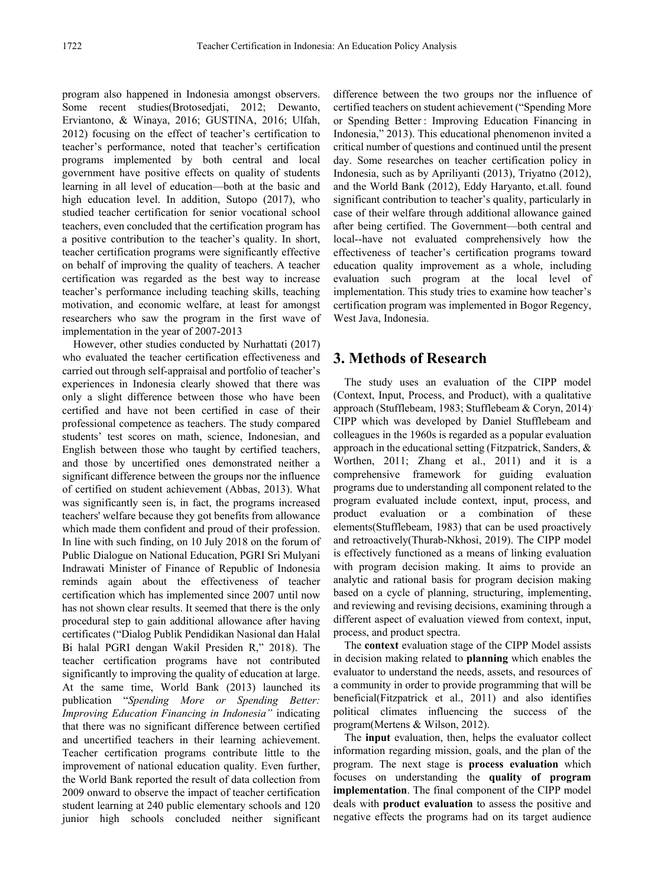program also happened in Indonesia amongst observers. Some recent studies(Brotosedjati, 2012; Dewanto, Erviantono, & Winaya, 2016; GUSTINA, 2016; Ulfah, 2012) focusing on the effect of teacher's certification to teacher's performance, noted that teacher's certification programs implemented by both central and local government have positive effects on quality of students learning in all level of education—both at the basic and high education level. In addition, Sutopo (2017), who studied teacher certification for senior vocational school teachers, even concluded that the certification program has a positive contribution to the teacher's quality. In short, teacher certification programs were significantly effective on behalf of improving the quality of teachers. A teacher certification was regarded as the best way to increase teacher's performance including teaching skills, teaching motivation, and economic welfare, at least for amongst researchers who saw the program in the first wave of implementation in the year of 2007-2013

However, other studies conducted by Nurhattati (2017) who evaluated the teacher certification effectiveness and carried out through self-appraisal and portfolio of teacher's experiences in Indonesia clearly showed that there was only a slight difference between those who have been certified and have not been certified in case of their professional competence as teachers. The study compared students' test scores on math, science, Indonesian, and English between those who taught by certified teachers, and those by uncertified ones demonstrated neither a significant difference between the groups nor the influence of certified on student achievement (Abbas, 2013). What was significantly seen is, in fact, the programs increased teachers' welfare because they got benefits from allowance which made them confident and proud of their profession. In line with such finding, on 10 July 2018 on the forum of Public Dialogue on National Education, PGRI Sri Mulyani Indrawati Minister of Finance of Republic of Indonesia reminds again about the effectiveness of teacher certification which has implemented since 2007 until now has not shown clear results. It seemed that there is the only procedural step to gain additional allowance after having certificates ("Dialog Publik Pendidikan Nasional dan Halal Bi halal PGRI dengan Wakil Presiden R," 2018). The teacher certification programs have not contributed significantly to improving the quality of education at large. At the same time, World Bank (2013) launched its publication "*Spending More or Spending Better: Improving Education Financing in Indonesia"* indicating that there was no significant difference between certified and uncertified teachers in their learning achievement. Teacher certification programs contribute little to the improvement of national education quality. Even further, the World Bank reported the result of data collection from 2009 onward to observe the impact of teacher certification student learning at 240 public elementary schools and 120 junior high schools concluded neither significant

difference between the two groups nor the influence of certified teachers on student achievement ("Spending More or Spending Better : Improving Education Financing in Indonesia," 2013). This educational phenomenon invited a critical number of questions and continued until the present day. Some researches on teacher certification policy in Indonesia, such as by Apriliyanti (2013), Triyatno (2012), and the World Bank (2012), Eddy Haryanto, et.all. found significant contribution to teacher's quality, particularly in case of their welfare through additional allowance gained after being certified. The Government—both central and local--have not evaluated comprehensively how the effectiveness of teacher's certification programs toward education quality improvement as a whole, including evaluation such program at the local level of implementation. This study tries to examine how teacher's certification program was implemented in Bogor Regency, West Java, Indonesia.

# **3. Methods of Research**

The study uses an evaluation of the CIPP model (Context, Input, Process, and Product), with a qualitative approach (Stufflebeam, 1983; Stufflebeam & Coryn, 2014). CIPP which was developed by Daniel Stufflebeam and colleagues in the 1960s is regarded as a popular evaluation approach in the educational setting (Fitzpatrick, Sanders, & Worthen, 2011; Zhang et al., 2011) and it is a comprehensive framework for guiding evaluation programs due to understanding all component related to the program evaluated include context, input, process, and product evaluation or a combination of these elements(Stufflebeam, 1983) that can be used proactively and retroactively(Thurab-Nkhosi, 2019). The CIPP model is effectively functioned as a means of linking evaluation with program decision making. It aims to provide an analytic and rational basis for program decision making based on a cycle of planning, structuring, implementing, and reviewing and revising decisions, examining through a different aspect of evaluation viewed from context, input, process, and product spectra.

The **context** evaluation stage of the CIPP Model assists in decision making related to **planning** which enables the evaluator to understand the needs, assets, and resources of a community in order to provide programming that will be beneficial(Fitzpatrick et al., 2011) and also identifies political climates influencing the success of the program(Mertens & Wilson, 2012).

The **input** evaluation, then, helps the evaluator collect information regarding mission, goals, and the plan of the program. The next stage is **process evaluation** which focuses on understanding the **quality of program implementation**. The final component of the CIPP model deals with **product evaluation** to assess the positive and negative effects the programs had on its target audience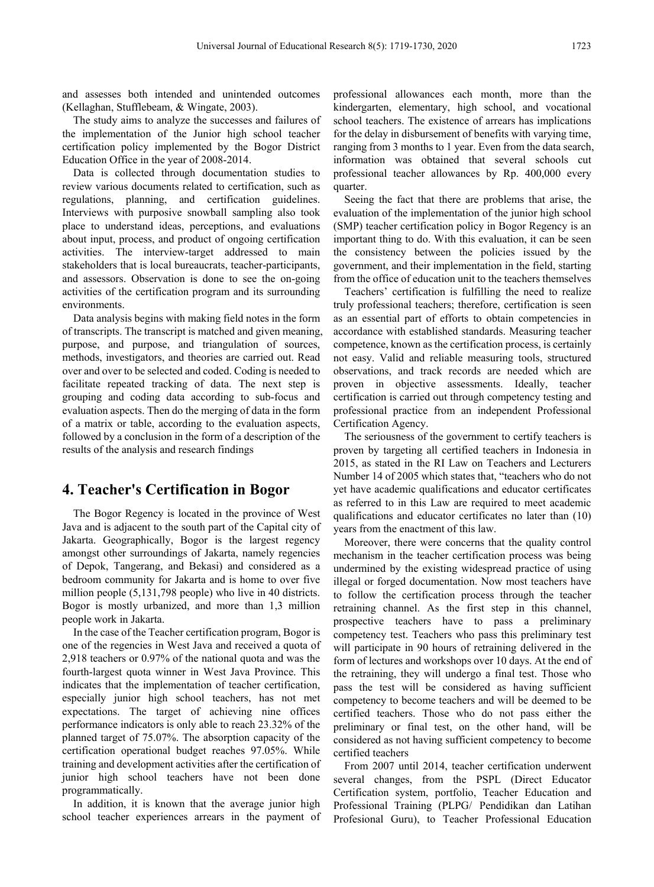and assesses both intended and unintended outcomes (Kellaghan, Stufflebeam, & Wingate, 2003).

The study aims to analyze the successes and failures of the implementation of the Junior high school teacher certification policy implemented by the Bogor District Education Office in the year of 2008-2014.

Data is collected through documentation studies to review various documents related to certification, such as regulations, planning, and certification guidelines. Interviews with purposive snowball sampling also took place to understand ideas, perceptions, and evaluations about input, process, and product of ongoing certification activities. The interview-target addressed to main stakeholders that is local bureaucrats, teacher-participants, and assessors. Observation is done to see the on-going activities of the certification program and its surrounding environments.

Data analysis begins with making field notes in the form of transcripts. The transcript is matched and given meaning, purpose, and purpose, and triangulation of sources, methods, investigators, and theories are carried out. Read over and over to be selected and coded. Coding is needed to facilitate repeated tracking of data. The next step is grouping and coding data according to sub-focus and evaluation aspects. Then do the merging of data in the form of a matrix or table, according to the evaluation aspects, followed by a conclusion in the form of a description of the results of the analysis and research findings

# **4. Teacher's Certification in Bogor**

The Bogor Regency is located in the province of West Java and is adjacent to the south part of the Capital city of Jakarta. Geographically, Bogor is the largest regency amongst other surroundings of Jakarta, namely regencies of Depok, Tangerang, and Bekasi) and considered as a bedroom community for Jakarta and is home to over five million people (5,131,798 people) who live in 40 districts. Bogor is mostly urbanized, and more than 1,3 million people work in Jakarta.

In the case of the Teacher certification program, Bogor is one of the regencies in West Java and received a quota of 2,918 teachers or 0.97% of the national quota and was the fourth-largest quota winner in West Java Province. This indicates that the implementation of teacher certification, especially junior high school teachers, has not met expectations. The target of achieving nine offices performance indicators is only able to reach 23.32% of the planned target of 75.07%. The absorption capacity of the certification operational budget reaches 97.05%. While training and development activities after the certification of junior high school teachers have not been done programmatically.

In addition, it is known that the average junior high school teacher experiences arrears in the payment of

professional allowances each month, more than the kindergarten, elementary, high school, and vocational school teachers. The existence of arrears has implications for the delay in disbursement of benefits with varying time, ranging from 3 months to 1 year. Even from the data search, information was obtained that several schools cut professional teacher allowances by Rp. 400,000 every quarter.

Seeing the fact that there are problems that arise, the evaluation of the implementation of the junior high school (SMP) teacher certification policy in Bogor Regency is an important thing to do. With this evaluation, it can be seen the consistency between the policies issued by the government, and their implementation in the field, starting from the office of education unit to the teachers themselves

Teachers' certification is fulfilling the need to realize truly professional teachers; therefore, certification is seen as an essential part of efforts to obtain competencies in accordance with established standards. Measuring teacher competence, known as the certification process, is certainly not easy. Valid and reliable measuring tools, structured observations, and track records are needed which are proven in objective assessments. Ideally, teacher certification is carried out through competency testing and professional practice from an independent Professional Certification Agency.

The seriousness of the government to certify teachers is proven by targeting all certified teachers in Indonesia in 2015, as stated in the RI Law on Teachers and Lecturers Number 14 of 2005 which states that, "teachers who do not yet have academic qualifications and educator certificates as referred to in this Law are required to meet academic qualifications and educator certificates no later than (10) years from the enactment of this law.

Moreover, there were concerns that the quality control mechanism in the teacher certification process was being undermined by the existing widespread practice of using illegal or forged documentation. Now most teachers have to follow the certification process through the teacher retraining channel. As the first step in this channel, prospective teachers have to pass a preliminary competency test. Teachers who pass this preliminary test will participate in 90 hours of retraining delivered in the form of lectures and workshops over 10 days. At the end of the retraining, they will undergo a final test. Those who pass the test will be considered as having sufficient competency to become teachers and will be deemed to be certified teachers. Those who do not pass either the preliminary or final test, on the other hand, will be considered as not having sufficient competency to become certified teachers

From 2007 until 2014, teacher certification underwent several changes, from the PSPL (Direct Educator Certification system, portfolio, Teacher Education and Professional Training (PLPG/ Pendidikan dan Latihan Profesional Guru), to Teacher Professional Education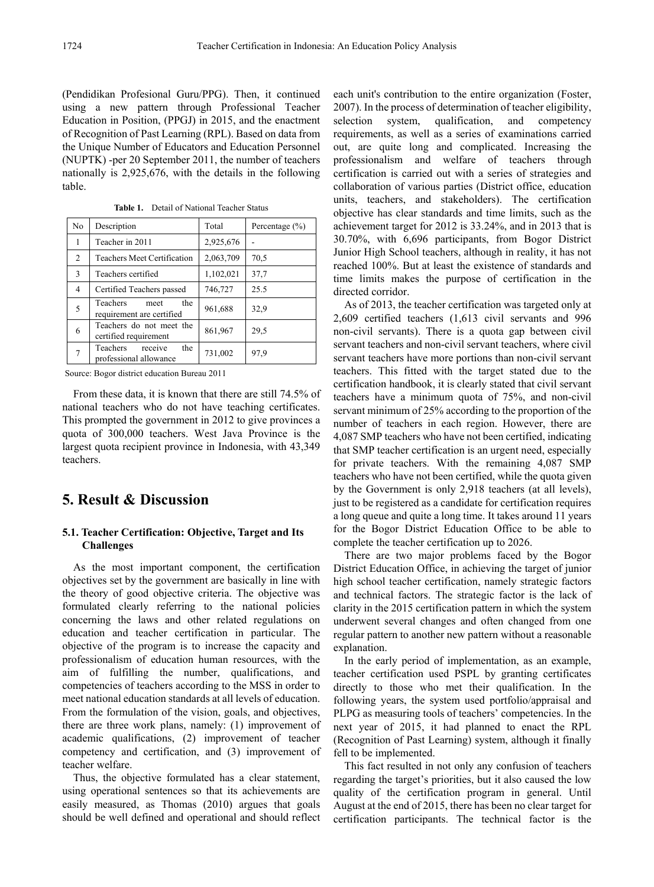(Pendidikan Profesional Guru/PPG). Then, it continued using a new pattern through Professional Teacher Education in Position, (PPGJ) in 2015, and the enactment of Recognition of Past Learning (RPL). Based on data from the Unique Number of Educators and Education Personnel (NUPTK) -per 20 September 2011, the number of teachers nationally is 2,925,676, with the details in the following table.

| No           | Description                                                 | Total     | Percentage $(\% )$ |
|--------------|-------------------------------------------------------------|-----------|--------------------|
| 1            | Teacher in 2011                                             | 2,925,676 |                    |
| 2            | Teachers Meet Certification                                 | 2,063,709 | 70,5               |
| $\mathbf{3}$ | Teachers certified                                          | 1,102,021 | 37,7               |
| 4            | Certified Teachers passed                                   | 746,727   | 25.5               |
| 5            | <b>Teachers</b><br>the<br>meet<br>requirement are certified | 961,688   | 32,9               |
| 6            | Teachers do not meet the<br>certified requirement           | 861,967   | 29.5               |
|              | Teachers<br>the<br>receive<br>professional allowance        | 731,002   | 97.9               |

**Table 1.** Detail of National Teacher Status

Source: Bogor district education Bureau 2011

From these data, it is known that there are still 74.5% of national teachers who do not have teaching certificates. This prompted the government in 2012 to give provinces a quota of 300,000 teachers. West Java Province is the largest quota recipient province in Indonesia, with 43,349 teachers.

# **5. Result & Discussion**

## **5.1. Teacher Certification: Objective, Target and Its Challenges**

As the most important component, the certification objectives set by the government are basically in line with the theory of good objective criteria. The objective was formulated clearly referring to the national policies concerning the laws and other related regulations on education and teacher certification in particular. The objective of the program is to increase the capacity and professionalism of education human resources, with the aim of fulfilling the number, qualifications, and competencies of teachers according to the MSS in order to meet national education standards at all levels of education. From the formulation of the vision, goals, and objectives, there are three work plans, namely: (1) improvement of academic qualifications, (2) improvement of teacher competency and certification, and (3) improvement of teacher welfare.

Thus, the objective formulated has a clear statement, using operational sentences so that its achievements are easily measured, as Thomas (2010) argues that goals should be well defined and operational and should reflect each unit's contribution to the entire organization (Foster, 2007). In the process of determination of teacher eligibility, selection system, qualification, and competency requirements, as well as a series of examinations carried out, are quite long and complicated. Increasing the professionalism and welfare of teachers through certification is carried out with a series of strategies and collaboration of various parties (District office, education units, teachers, and stakeholders). The certification objective has clear standards and time limits, such as the achievement target for 2012 is 33.24%, and in 2013 that is 30.70%, with 6,696 participants, from Bogor District Junior High School teachers, although in reality, it has not reached 100%. But at least the existence of standards and time limits makes the purpose of certification in the directed corridor.

As of 2013, the teacher certification was targeted only at 2,609 certified teachers (1,613 civil servants and 996 non-civil servants). There is a quota gap between civil servant teachers and non-civil servant teachers, where civil servant teachers have more portions than non-civil servant teachers. This fitted with the target stated due to the certification handbook, it is clearly stated that civil servant teachers have a minimum quota of 75%, and non-civil servant minimum of 25% according to the proportion of the number of teachers in each region. However, there are 4,087 SMP teachers who have not been certified, indicating that SMP teacher certification is an urgent need, especially for private teachers. With the remaining 4,087 SMP teachers who have not been certified, while the quota given by the Government is only 2,918 teachers (at all levels), just to be registered as a candidate for certification requires a long queue and quite a long time. It takes around 11 years for the Bogor District Education Office to be able to complete the teacher certification up to 2026.

There are two major problems faced by the Bogor District Education Office, in achieving the target of junior high school teacher certification, namely strategic factors and technical factors. The strategic factor is the lack of clarity in the 2015 certification pattern in which the system underwent several changes and often changed from one regular pattern to another new pattern without a reasonable explanation.

In the early period of implementation, as an example, teacher certification used PSPL by granting certificates directly to those who met their qualification. In the following years, the system used portfolio/appraisal and PLPG as measuring tools of teachers' competencies. In the next year of 2015, it had planned to enact the RPL (Recognition of Past Learning) system, although it finally fell to be implemented.

This fact resulted in not only any confusion of teachers regarding the target's priorities, but it also caused the low quality of the certification program in general. Until August at the end of 2015, there has been no clear target for certification participants. The technical factor is the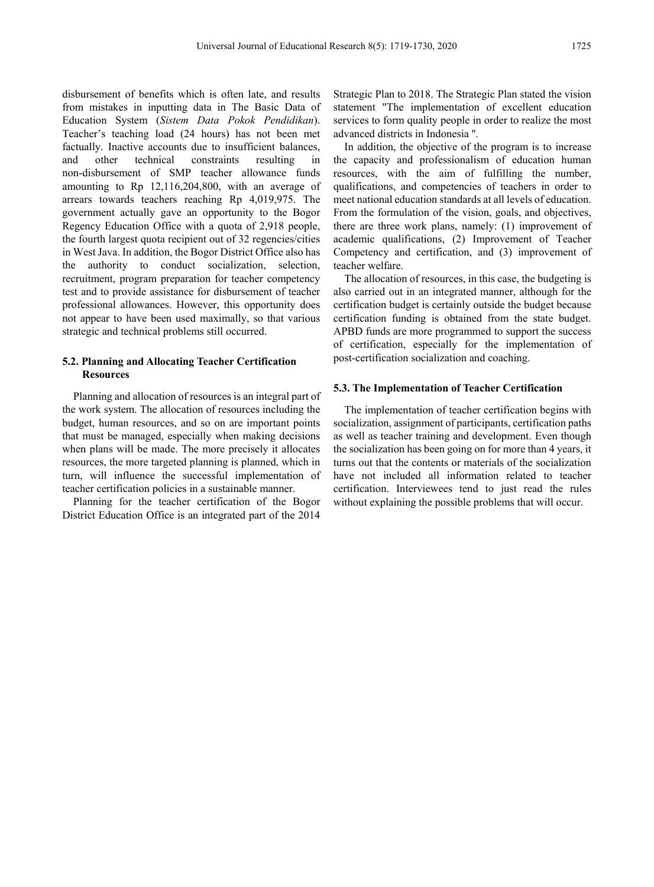disbursement of benefits which is often late, and results from mistakes in inputting data in The Basic Data of Education System (*Sistem Data Pokok Pendidikan*). Teacher's teaching load (24 hours) has not been met factually. Inactive accounts due to insufficient balances, and other technical constraints resulting in non-disbursement of SMP teacher allowance funds amounting to Rp 12,116,204,800, with an average of arrears towards teachers reaching Rp 4,019,975. The government actually gave an opportunity to the Bogor Regency Education Office with a quota of 2,918 people, the fourth largest quota recipient out of 32 regencies/cities in West Java. In addition, the Bogor District Office also has the authority to conduct socialization, selection, recruitment, program preparation for teacher competency test and to provide assistance for disbursement of teacher professional allowances. However, this opportunity does not appear to have been used maximally, so that various strategic and technical problems still occurred.

## **5.2. Planning and Allocating Teacher Certification Resources**

Planning and allocation of resources is an integral part of the work system. The allocation of resources including the budget, human resources, and so on are important points that must be managed, especially when making decisions when plans will be made. The more precisely it allocates resources, the more targeted planning is planned, which in turn, will influence the successful implementation of teacher certification policies in a sustainable manner.

Planning for the teacher certification of the Bogor District Education Office is an integrated part of the 2014

Strategic Plan to 2018. The Strategic Plan stated the vision statement "The implementation of excellent education services to form quality people in order to realize the most advanced districts in Indonesia ''.

In addition, the objective of the program is to increase the capacity and professionalism of education human resources, with the aim of fulfilling the number, qualifications, and competencies of teachers in order to meet national education standards at all levels of education. From the formulation of the vision, goals, and objectives, there are three work plans, namely: (1) improvement of academic qualifications, (2) Improvement of Teacher Competency and certification, and (3) improvement of teacher welfare.

The allocation of resources, in this case, the budgeting is also carried out in an integrated manner, although for the certification budget is certainly outside the budget because certification funding is obtained from the state budget. APBD funds are more programmed to support the success of certification, especially for the implementation of post-certification socialization and coaching.

#### **5.3. The Implementation of Teacher Certification**

The implementation of teacher certification begins with socialization, assignment of participants, certification paths as well as teacher training and development. Even though the socialization has been going on for more than 4 years, it turns out that the contents or materials of the socialization have not included all information related to teacher certification. Interviewees tend to just read the rules without explaining the possible problems that will occur.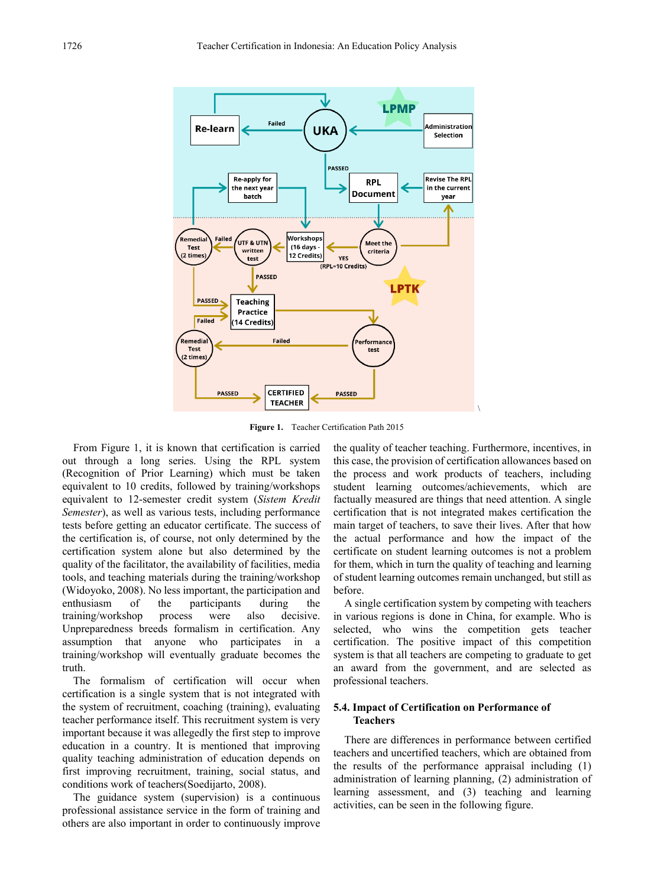

**Figure 1.** Teacher Certification Path 2015

From Figure 1, it is known that certification is carried out through a long series. Using the RPL system (Recognition of Prior Learning) which must be taken equivalent to 10 credits, followed by training/workshops equivalent to 12-semester credit system (*Sistem Kredit Semester*), as well as various tests, including performance tests before getting an educator certificate. The success of the certification is, of course, not only determined by the certification system alone but also determined by the quality of the facilitator, the availability of facilities, media tools, and teaching materials during the training/workshop (Widoyoko, 2008). No less important, the participation and enthusiasm of the participants during the training/workshop process were also decisive. Unpreparedness breeds formalism in certification. Any assumption that anyone who participates in a training/workshop will eventually graduate becomes the truth.

The formalism of certification will occur when certification is a single system that is not integrated with the system of recruitment, coaching (training), evaluating teacher performance itself. This recruitment system is very important because it was allegedly the first step to improve education in a country. It is mentioned that improving quality teaching administration of education depends on first improving recruitment, training, social status, and conditions work of teachers(Soedijarto, 2008).

The guidance system (supervision) is a continuous professional assistance service in the form of training and others are also important in order to continuously improve

the quality of teacher teaching. Furthermore, incentives, in this case, the provision of certification allowances based on the process and work products of teachers, including student learning outcomes/achievements, which are factually measured are things that need attention. A single certification that is not integrated makes certification the main target of teachers, to save their lives. After that how the actual performance and how the impact of the certificate on student learning outcomes is not a problem for them, which in turn the quality of teaching and learning of student learning outcomes remain unchanged, but still as before.

A single certification system by competing with teachers in various regions is done in China, for example. Who is selected, who wins the competition gets teacher certification. The positive impact of this competition system is that all teachers are competing to graduate to get an award from the government, and are selected as professional teachers.

## **5.4. Impact of Certification on Performance of Teachers**

There are differences in performance between certified teachers and uncertified teachers, which are obtained from the results of the performance appraisal including (1) administration of learning planning, (2) administration of learning assessment, and (3) teaching and learning activities, can be seen in the following figure.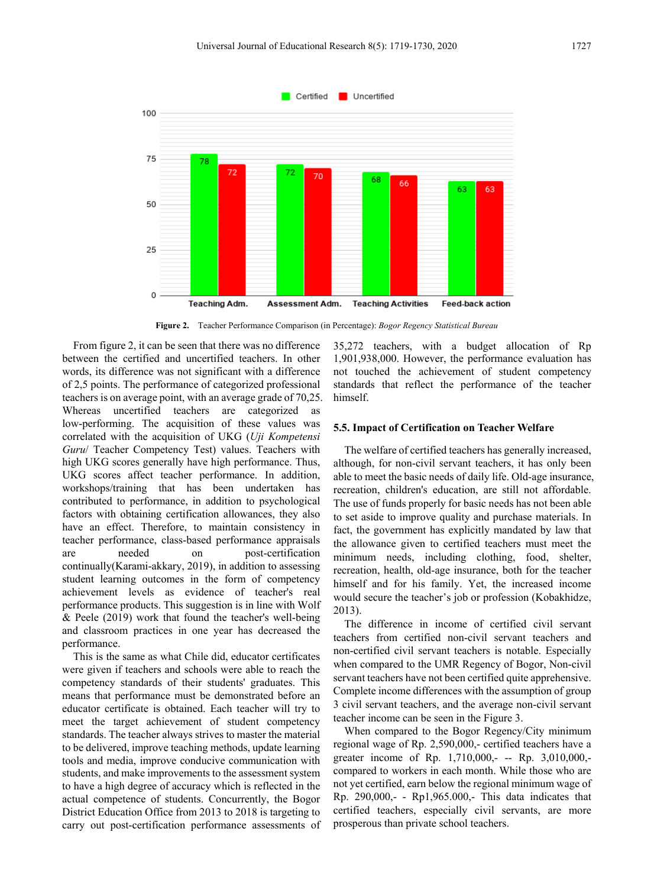

**Figure 2.** Teacher Performance Comparison (in Percentage): *Bogor Regency Statistical Bureau*

From figure 2, it can be seen that there was no difference between the certified and uncertified teachers. In other words, its difference was not significant with a difference of 2,5 points. The performance of categorized professional teachers is on average point, with an average grade of 70,25. Whereas uncertified teachers are categorized as low-performing. The acquisition of these values was correlated with the acquisition of UKG (*Uji Kompetensi Guru*/ Teacher Competency Test) values. Teachers with high UKG scores generally have high performance. Thus, UKG scores affect teacher performance. In addition, workshops/training that has been undertaken has contributed to performance, in addition to psychological factors with obtaining certification allowances, they also have an effect. Therefore, to maintain consistency in teacher performance, class-based performance appraisals are needed on post-certification continually(Karami-akkary, 2019), in addition to assessing student learning outcomes in the form of competency achievement levels as evidence of teacher's real performance products. This suggestion is in line with Wolf & Peele (2019) work that found the teacher's well-being and classroom practices in one year has decreased the performance.

This is the same as what Chile did, educator certificates were given if teachers and schools were able to reach the competency standards of their students' graduates. This means that performance must be demonstrated before an educator certificate is obtained. Each teacher will try to meet the target achievement of student competency standards. The teacher always strives to master the material to be delivered, improve teaching methods, update learning tools and media, improve conducive communication with students, and make improvements to the assessment system to have a high degree of accuracy which is reflected in the actual competence of students. Concurrently, the Bogor District Education Office from 2013 to 2018 is targeting to carry out post-certification performance assessments of

35,272 teachers, with a budget allocation of Rp 1,901,938,000. However, the performance evaluation has not touched the achievement of student competency standards that reflect the performance of the teacher himself.

#### **5.5. Impact of Certification on Teacher Welfare**

The welfare of certified teachers has generally increased, although, for non-civil servant teachers, it has only been able to meet the basic needs of daily life. Old-age insurance, recreation, children's education, are still not affordable. The use of funds properly for basic needs has not been able to set aside to improve quality and purchase materials. In fact, the government has explicitly mandated by law that the allowance given to certified teachers must meet the minimum needs, including clothing, food, shelter, recreation, health, old-age insurance, both for the teacher himself and for his family. Yet, the increased income would secure the teacher's job or profession (Kobakhidze, 2013).

The difference in income of certified civil servant teachers from certified non-civil servant teachers and non-certified civil servant teachers is notable. Especially when compared to the UMR Regency of Bogor, Non-civil servant teachers have not been certified quite apprehensive. Complete income differences with the assumption of group 3 civil servant teachers, and the average non-civil servant teacher income can be seen in the Figure 3.

When compared to the Bogor Regency/City minimum regional wage of Rp. 2,590,000,- certified teachers have a greater income of Rp. 1,710,000,- -- Rp. 3,010,000,compared to workers in each month. While those who are not yet certified, earn below the regional minimum wage of Rp. 290,000,- - Rp1,965.000,- This data indicates that certified teachers, especially civil servants, are more prosperous than private school teachers.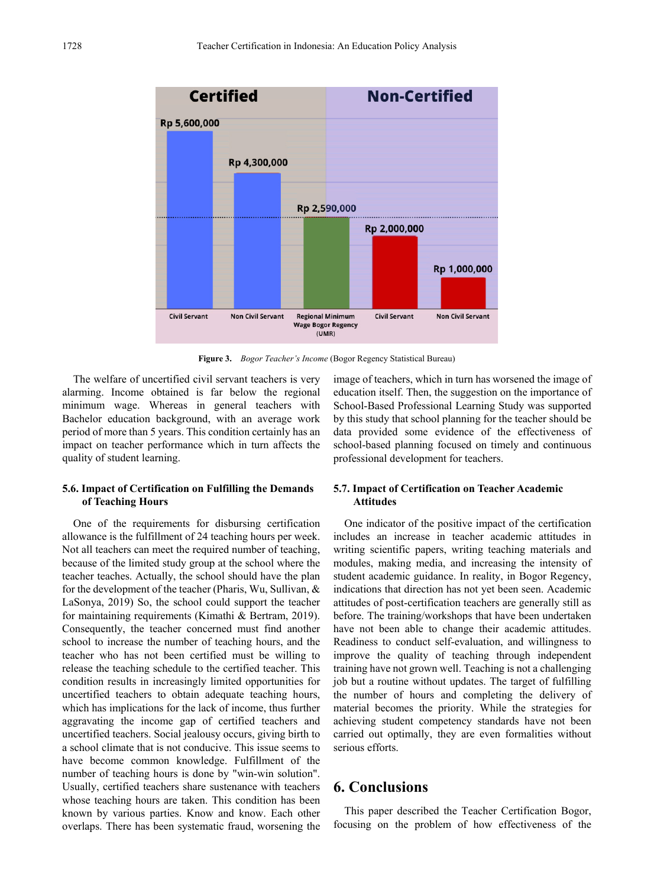

**Figure 3.** *Bogor Teacher's Income* (Bogor Regency Statistical Bureau)

The welfare of uncertified civil servant teachers is very alarming. Income obtained is far below the regional minimum wage. Whereas in general teachers with Bachelor education background, with an average work period of more than 5 years. This condition certainly has an impact on teacher performance which in turn affects the quality of student learning.

## **5.6. Impact of Certification on Fulfilling the Demands of Teaching Hours**

One of the requirements for disbursing certification allowance is the fulfillment of 24 teaching hours per week. Not all teachers can meet the required number of teaching, because of the limited study group at the school where the teacher teaches. Actually, the school should have the plan for the development of the teacher (Pharis, Wu, Sullivan, & LaSonya, 2019) So, the school could support the teacher for maintaining requirements (Kimathi & Bertram, 2019). Consequently, the teacher concerned must find another school to increase the number of teaching hours, and the teacher who has not been certified must be willing to release the teaching schedule to the certified teacher. This condition results in increasingly limited opportunities for uncertified teachers to obtain adequate teaching hours, which has implications for the lack of income, thus further aggravating the income gap of certified teachers and uncertified teachers. Social jealousy occurs, giving birth to a school climate that is not conducive. This issue seems to have become common knowledge. Fulfillment of the number of teaching hours is done by "win-win solution". Usually, certified teachers share sustenance with teachers whose teaching hours are taken. This condition has been known by various parties. Know and know. Each other overlaps. There has been systematic fraud, worsening the image of teachers, which in turn has worsened the image of education itself. Then, the suggestion on the importance of School-Based Professional Learning Study was supported by this study that school planning for the teacher should be data provided some evidence of the effectiveness of school-based planning focused on timely and continuous professional development for teachers.

### **5.7. Impact of Certification on Teacher Academic Attitudes**

One indicator of the positive impact of the certification includes an increase in teacher academic attitudes in writing scientific papers, writing teaching materials and modules, making media, and increasing the intensity of student academic guidance. In reality, in Bogor Regency, indications that direction has not yet been seen. Academic attitudes of post-certification teachers are generally still as before. The training/workshops that have been undertaken have not been able to change their academic attitudes. Readiness to conduct self-evaluation, and willingness to improve the quality of teaching through independent training have not grown well. Teaching is not a challenging job but a routine without updates. The target of fulfilling the number of hours and completing the delivery of material becomes the priority. While the strategies for achieving student competency standards have not been carried out optimally, they are even formalities without serious efforts.

## **6. Conclusions**

This paper described the Teacher Certification Bogor, focusing on the problem of how effectiveness of the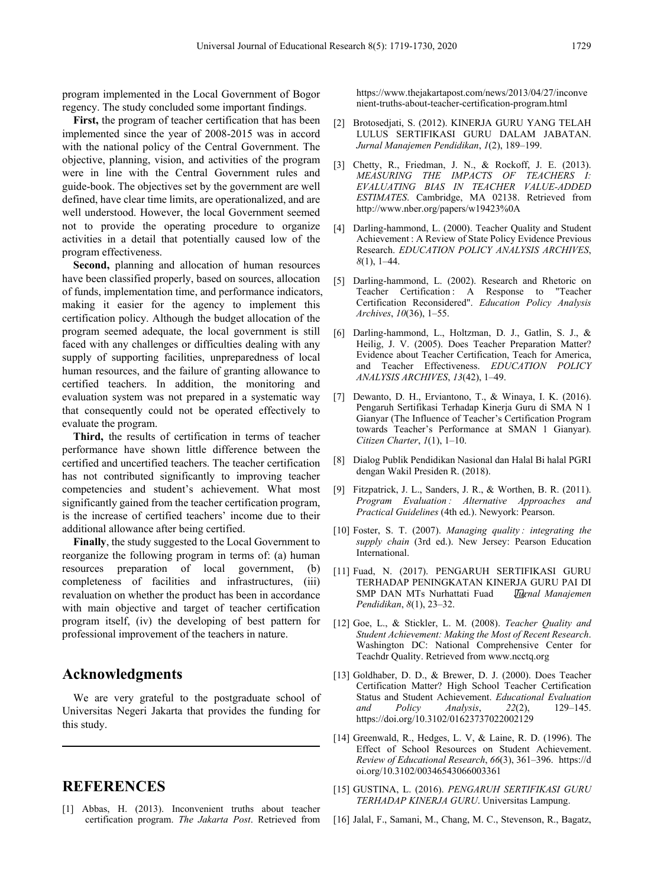program implemented in the Local Government of Bogor regency. The study concluded some important findings.

**First,** the program of teacher certification that has been implemented since the year of 2008-2015 was in accord with the national policy of the Central Government. The objective, planning, vision, and activities of the program were in line with the Central Government rules and guide-book. The objectives set by the government are well defined, have clear time limits, are operationalized, and are well understood. However, the local Government seemed not to provide the operating procedure to organize activities in a detail that potentially caused low of the program effectiveness.

**Second,** planning and allocation of human resources have been classified properly, based on sources, allocation of funds, implementation time, and performance indicators, making it easier for the agency to implement this certification policy. Although the budget allocation of the program seemed adequate, the local government is still faced with any challenges or difficulties dealing with any supply of supporting facilities, unpreparedness of local human resources, and the failure of granting allowance to certified teachers. In addition, the monitoring and evaluation system was not prepared in a systematic way that consequently could not be operated effectively to evaluate the program.

**Third,** the results of certification in terms of teacher performance have shown little difference between the certified and uncertified teachers. The teacher certification has not contributed significantly to improving teacher competencies and student's achievement. What most significantly gained from the teacher certification program, is the increase of certified teachers' income due to their additional allowance after being certified.

**Finally**, the study suggested to the Local Government to reorganize the following program in terms of: (a) human resources preparation of local government, (b) completeness of facilities and infrastructures, (iii) revaluation on whether the product has been in accordance with main objective and target of teacher certification program itself, (iv) the developing of best pattern for professional improvement of the teachers in nature.

# **Acknowledgments**

We are very grateful to the postgraduate school of Universitas Negeri Jakarta that provides the funding for this study.

## **REFERENCES**

[1] Abbas, H. (2013). Inconvenient truths about teacher certification program. *The Jakarta Post*. Retrieved from https://www.thejakartapost.com/news/2013/04/27/inconve nient-truths-about-teacher-certification-program.html

- [2] Brotosedjati, S. (2012). KINERJA GURU YANG TELAH LULUS SERTIFIKASI GURU DALAM JABATAN. *Jurnal Manajemen Pendidikan*, *1*(2), 189–199.
- [3] Chetty, R., Friedman, J. N., & Rockoff, J. E. (2013). *MEASURING THE IMPACTS OF TEACHERS I: EVALUATING BIAS IN TEACHER VALUE-ADDED ESTIMATES*. Cambridge, MA 02138. Retrieved from http://www.nber.org/papers/w19423%0A
- [4] Darling-hammond, L. (2000). Teacher Quality and Student Achievement : A Review of State Policy Evidence Previous Research. *EDUCATION POLICY ANALYSIS ARCHIVES*, *8*(1), 1–44.
- [5] Darling-hammond, L. (2002). Research and Rhetoric on Teacher Certification : A Response to "Teacher Certification Reconsidered". *Education Policy Analysis Archives*, *10*(36), 1–55.
- [6] Darling-hammond, L., Holtzman, D. J., Gatlin, S. J., & Heilig, J. V. (2005). Does Teacher Preparation Matter? Evidence about Teacher Certification, Teach for America, and Teacher Effectiveness. *EDUCATION POLICY ANALYSIS ARCHIVES*, *13*(42), 1–49.
- [7] Dewanto, D. H., Erviantono, T., & Winaya, I. K. (2016). Pengaruh Sertifikasi Terhadap Kinerja Guru di SMA N 1 Gianyar (The Influence of Teacher's Certification Program towards Teacher's Performance at SMAN 1 Gianyar). *Citizen Charter*, *1*(1), 1–10.
- [8] Dialog Publik Pendidikan Nasional dan Halal Bi halal PGRI dengan Wakil Presiden R. (2018).
- [9] Fitzpatrick, J. L., Sanders, J. R., & Worthen, B. R. (2011). *Program Evaluation : Alternative Approaches and Practical Guidelines* (4th ed.). Newyork: Pearson.
- [10] Foster, S. T. (2007). *Managing quality : integrating the supply chain* (3rd ed.). New Jersey: Pearson Education International.
- [11] Fuad, N. (2017). PENGARUH SERTIFIKASI GURU TERHADAP PENINGKATAN KINERJA GURU PAI DI<br>SMP DAN MTs Nurhattati Fuad *Warnal Manajemen* SMP DAN MTs Nurhattati Fuad *Jurnal Manajemen* . *Pendidikan*, *8*(1), 23–32.
- [12] Goe, L., & Stickler, L. M. (2008). *Teacher Quality and Student Achievement: Making the Most of Recent Research*. Washington DC: National Comprehensive Center for Teachdr Quality. Retrieved from www.ncctq.org
- [13] Goldhaber, D. D., & Brewer, D. J. (2000). Does Teacher Certification Matter? High School Teacher Certification Status and Student Achievement. *Educational Evaluation and Policy Analysis*, *22*(2), 129–145. https://doi.org/10.3102/01623737022002129
- [14] Greenwald, R., Hedges, L. V, & Laine, R. D. (1996). The Effect of School Resources on Student Achievement. *Review of Educational Research*, *66*(3), 361–396. https://d oi.org/10.3102/00346543066003361
- [15] GUSTINA, L. (2016). *PENGARUH SERTIFIKASI GURU TERHADAP KINERJA GURU*. Universitas Lampung.
- [16] Jalal, F., Samani, M., Chang, M. C., Stevenson, R., Bagatz,